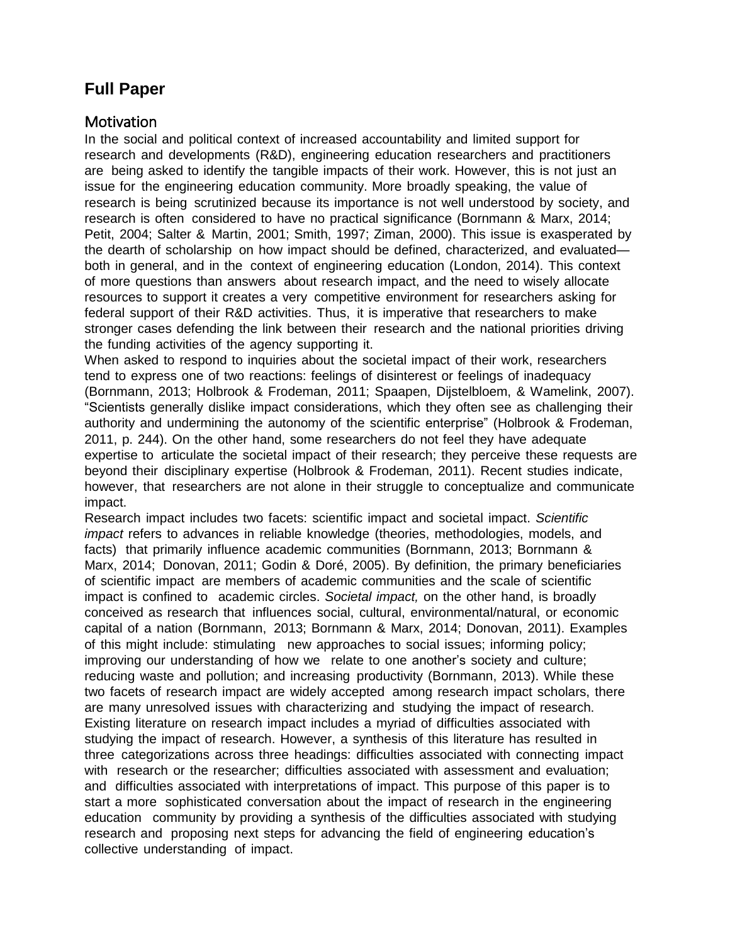# **Full Paper**

### **Motivation**

In the social and political context of increased accountability and limited support for research and developments (R&D), engineering education researchers and practitioners are being asked to identify the tangible impacts of their work. However, this is not just an issue for the engineering education community. More broadly speaking, the value of research is being scrutinized because its importance is not well understood by society, and research is often considered to have no practical significance (Bornmann & Marx, 2014; Petit, 2004; Salter & Martin, 2001; Smith, 1997; Ziman, 2000). This issue is exasperated by the dearth of scholarship on how impact should be defined, characterized, and evaluated both in general, and in the context of engineering education (London, 2014). This context of more questions than answers about research impact, and the need to wisely allocate resources to support it creates a very competitive environment for researchers asking for federal support of their R&D activities. Thus, it is imperative that researchers to make stronger cases defending the link between their research and the national priorities driving the funding activities of the agency supporting it.

When asked to respond to inquiries about the societal impact of their work, researchers tend to express one of two reactions: feelings of disinterest or feelings of inadequacy (Bornmann, 2013; Holbrook & Frodeman, 2011; Spaapen, Dijstelbloem, & Wamelink, 2007). "Scientists generally dislike impact considerations, which they often see as challenging their authority and undermining the autonomy of the scientific enterprise" (Holbrook & Frodeman, 2011, p. 244). On the other hand, some researchers do not feel they have adequate expertise to articulate the societal impact of their research; they perceive these requests are beyond their disciplinary expertise (Holbrook & Frodeman, 2011). Recent studies indicate, however, that researchers are not alone in their struggle to conceptualize and communicate impact.

Research impact includes two facets: scientific impact and societal impact. *Scientific impact* refers to advances in reliable knowledge (theories, methodologies, models, and facts) that primarily influence academic communities (Bornmann, 2013; Bornmann & Marx, 2014; Donovan, 2011; Godin & Doré, 2005). By definition, the primary beneficiaries of scientific impact are members of academic communities and the scale of scientific impact is confined to academic circles. *Societal impact,* on the other hand, is broadly conceived as research that influences social, cultural, environmental/natural, or economic capital of a nation (Bornmann, 2013; Bornmann & Marx, 2014; Donovan, 2011). Examples of this might include: stimulating new approaches to social issues; informing policy; improving our understanding of how we relate to one another's society and culture; reducing waste and pollution; and increasing productivity (Bornmann, 2013). While these two facets of research impact are widely accepted among research impact scholars, there are many unresolved issues with characterizing and studying the impact of research. Existing literature on research impact includes a myriad of difficulties associated with studying the impact of research. However, a synthesis of this literature has resulted in three categorizations across three headings: difficulties associated with connecting impact with research or the researcher; difficulties associated with assessment and evaluation; and difficulties associated with interpretations of impact. This purpose of this paper is to start a more sophisticated conversation about the impact of research in the engineering education community by providing a synthesis of the difficulties associated with studying research and proposing next steps for advancing the field of engineering education's collective understanding of impact.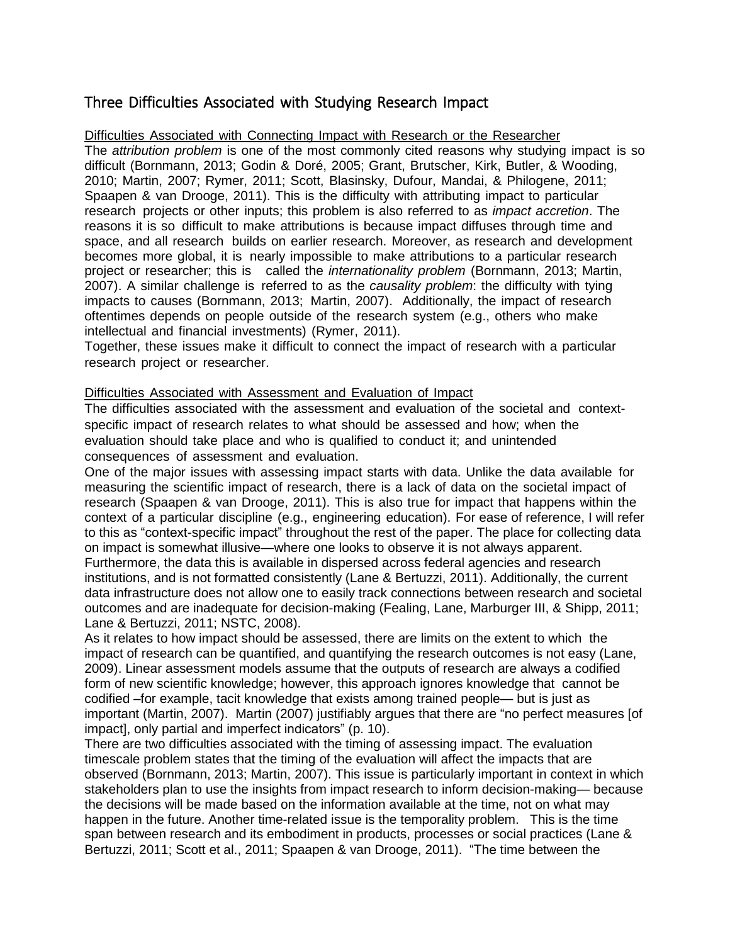## Three Difficulties Associated with Studying Research Impact

#### Difficulties Associated with Connecting Impact with Research or the Researcher

The *attribution problem* is one of the most commonly cited reasons why studying impact is so difficult (Bornmann, 2013; Godin & Doré, 2005; Grant, Brutscher, Kirk, Butler, & Wooding, 2010; Martin, 2007; Rymer, 2011; Scott, Blasinsky, Dufour, Mandai, & Philogene, 2011; Spaapen & van Drooge, 2011). This is the difficulty with attributing impact to particular research projects or other inputs; this problem is also referred to as *impact accretion*. The reasons it is so difficult to make attributions is because impact diffuses through time and space, and all research builds on earlier research. Moreover, as research and development becomes more global, it is nearly impossible to make attributions to a particular research project or researcher; this is called the *internationality problem* (Bornmann, 2013; Martin, 2007). A similar challenge is referred to as the *causality problem*: the difficulty with tying impacts to causes (Bornmann, 2013; Martin, 2007). Additionally, the impact of research oftentimes depends on people outside of the research system (e.g., others who make intellectual and financial investments) (Rymer, 2011).

Together, these issues make it difficult to connect the impact of research with a particular research project or researcher.

#### Difficulties Associated with Assessment and Evaluation of Impact

The difficulties associated with the assessment and evaluation of the societal and contextspecific impact of research relates to what should be assessed and how; when the evaluation should take place and who is qualified to conduct it; and unintended consequences of assessment and evaluation.

One of the major issues with assessing impact starts with data. Unlike the data available for measuring the scientific impact of research, there is a lack of data on the societal impact of research (Spaapen & van Drooge, 2011). This is also true for impact that happens within the context of a particular discipline (e.g., engineering education). For ease of reference, I will refer to this as "context-specific impact" throughout the rest of the paper. The place for collecting data on impact is somewhat illusive—where one looks to observe it is not always apparent. Furthermore, the data this is available in dispersed across federal agencies and research institutions, and is not formatted consistently (Lane & Bertuzzi, 2011). Additionally, the current data infrastructure does not allow one to easily track connections between research and societal outcomes and are inadequate for decision-making (Fealing, Lane, Marburger III, & Shipp, 2011; Lane & Bertuzzi, 2011; NSTC, 2008).

As it relates to how impact should be assessed, there are limits on the extent to which the impact of research can be quantified, and quantifying the research outcomes is not easy (Lane, 2009). Linear assessment models assume that the outputs of research are always a codified form of new scientific knowledge; however, this approach ignores knowledge that cannot be codified –for example, tacit knowledge that exists among trained people— but is just as important (Martin, 2007). Martin (2007) justifiably argues that there are "no perfect measures [of impact], only partial and imperfect indicators" (p. 10).

There are two difficulties associated with the timing of assessing impact. The evaluation timescale problem states that the timing of the evaluation will affect the impacts that are observed (Bornmann, 2013; Martin, 2007). This issue is particularly important in context in which stakeholders plan to use the insights from impact research to inform decision-making— because the decisions will be made based on the information available at the time, not on what may happen in the future. Another time-related issue is the temporality problem. This is the time span between research and its embodiment in products, processes or social practices (Lane & Bertuzzi, 2011; Scott et al., 2011; Spaapen & van Drooge, 2011). "The time between the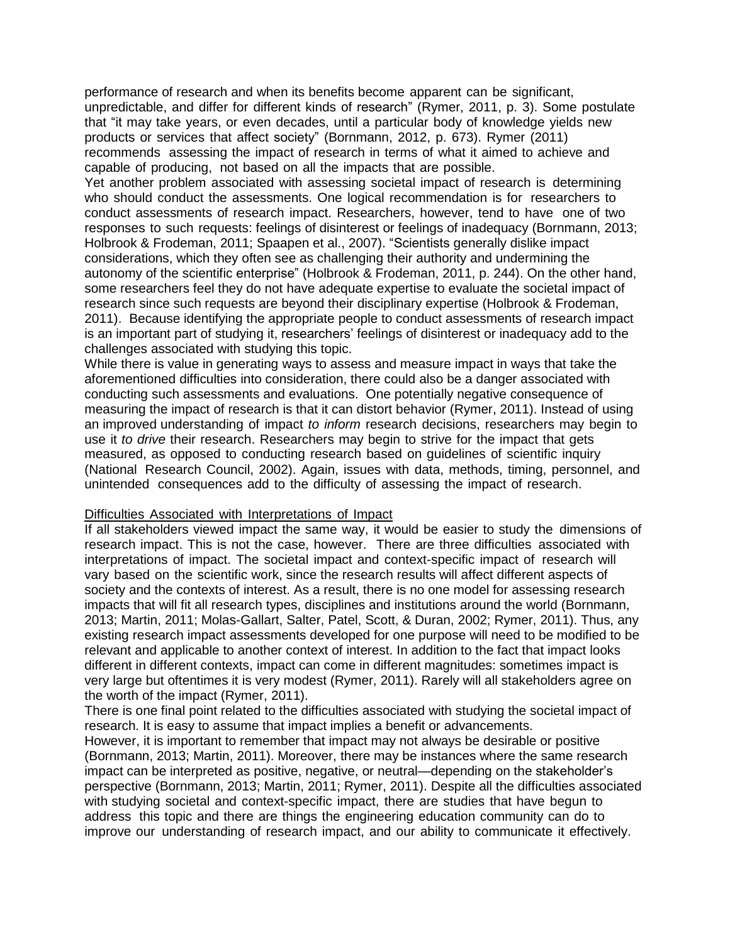performance of research and when its benefits become apparent can be significant, unpredictable, and differ for different kinds of research" (Rymer, 2011, p. 3). Some postulate that "it may take years, or even decades, until a particular body of knowledge yields new products or services that affect society" (Bornmann, 2012, p. 673). Rymer (2011) recommends assessing the impact of research in terms of what it aimed to achieve and capable of producing, not based on all the impacts that are possible.

Yet another problem associated with assessing societal impact of research is determining who should conduct the assessments. One logical recommendation is for researchers to conduct assessments of research impact. Researchers, however, tend to have one of two responses to such requests: feelings of disinterest or feelings of inadequacy (Bornmann, 2013; Holbrook & Frodeman, 2011; Spaapen et al., 2007). "Scientists generally dislike impact considerations, which they often see as challenging their authority and undermining the autonomy of the scientific enterprise" (Holbrook & Frodeman, 2011, p. 244). On the other hand, some researchers feel they do not have adequate expertise to evaluate the societal impact of research since such requests are beyond their disciplinary expertise (Holbrook & Frodeman, 2011). Because identifying the appropriate people to conduct assessments of research impact is an important part of studying it, researchers' feelings of disinterest or inadequacy add to the challenges associated with studying this topic.

While there is value in generating ways to assess and measure impact in ways that take the aforementioned difficulties into consideration, there could also be a danger associated with conducting such assessments and evaluations. One potentially negative consequence of measuring the impact of research is that it can distort behavior (Rymer, 2011). Instead of using an improved understanding of impact *to inform* research decisions, researchers may begin to use it *to drive* their research. Researchers may begin to strive for the impact that gets measured, as opposed to conducting research based on guidelines of scientific inquiry (National Research Council, 2002). Again, issues with data, methods, timing, personnel, and unintended consequences add to the difficulty of assessing the impact of research.

#### Difficulties Associated with Interpretations of Impact

If all stakeholders viewed impact the same way, it would be easier to study the dimensions of research impact. This is not the case, however. There are three difficulties associated with interpretations of impact. The societal impact and context-specific impact of research will vary based on the scientific work, since the research results will affect different aspects of society and the contexts of interest. As a result, there is no one model for assessing research impacts that will fit all research types, disciplines and institutions around the world (Bornmann, 2013; Martin, 2011; Molas-Gallart, Salter, Patel, Scott, & Duran, 2002; Rymer, 2011). Thus, any existing research impact assessments developed for one purpose will need to be modified to be relevant and applicable to another context of interest. In addition to the fact that impact looks different in different contexts, impact can come in different magnitudes: sometimes impact is very large but oftentimes it is very modest (Rymer, 2011). Rarely will all stakeholders agree on the worth of the impact (Rymer, 2011).

There is one final point related to the difficulties associated with studying the societal impact of research. It is easy to assume that impact implies a benefit or advancements.

However, it is important to remember that impact may not always be desirable or positive (Bornmann, 2013; Martin, 2011). Moreover, there may be instances where the same research impact can be interpreted as positive, negative, or neutral—depending on the stakeholder's perspective (Bornmann, 2013; Martin, 2011; Rymer, 2011). Despite all the difficulties associated with studying societal and context-specific impact, there are studies that have begun to address this topic and there are things the engineering education community can do to improve our understanding of research impact, and our ability to communicate it effectively.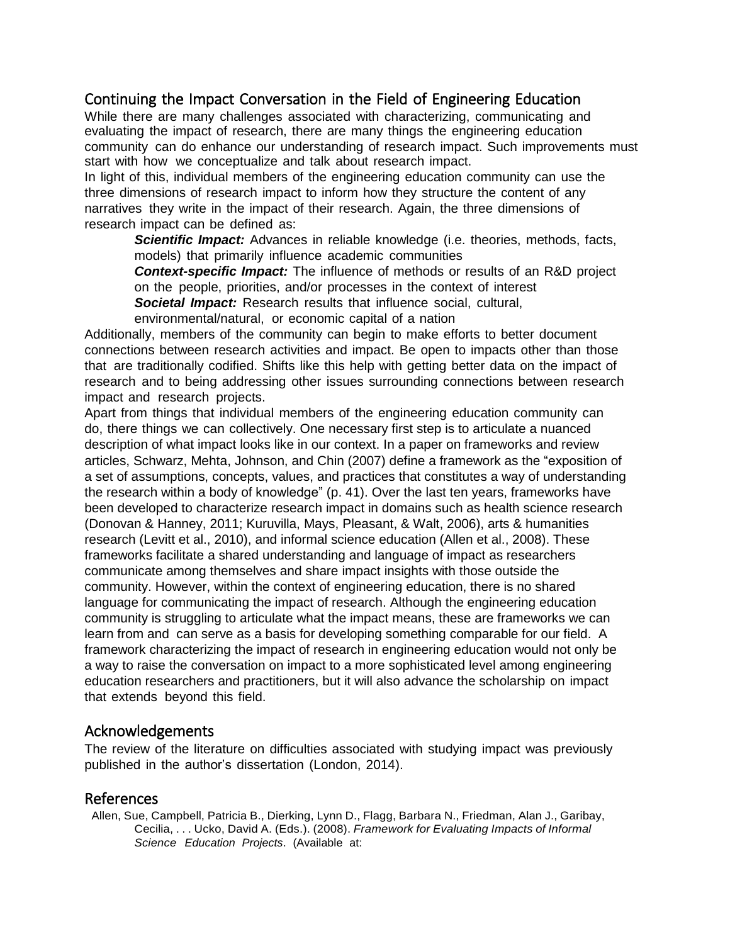### Continuing the Impact Conversation in the Field of Engineering Education

While there are many challenges associated with characterizing, communicating and evaluating the impact of research, there are many things the engineering education community can do enhance our understanding of research impact. Such improvements must start with how we conceptualize and talk about research impact.

In light of this, individual members of the engineering education community can use the three dimensions of research impact to inform how they structure the content of any narratives they write in the impact of their research. Again, the three dimensions of research impact can be defined as:

*Scientific Impact:* Advances in reliable knowledge (i.e. theories, methods, facts, models) that primarily influence academic communities

*Context-specific Impact:* The influence of methods or results of an R&D project on the people, priorities, and/or processes in the context of interest

*Societal Impact:* Research results that influence social, cultural,

environmental/natural, or economic capital of a nation

Additionally, members of the community can begin to make efforts to better document connections between research activities and impact. Be open to impacts other than those that are traditionally codified. Shifts like this help with getting better data on the impact of research and to being addressing other issues surrounding connections between research impact and research projects.

Apart from things that individual members of the engineering education community can do, there things we can collectively. One necessary first step is to articulate a nuanced description of what impact looks like in our context. In a paper on frameworks and review articles, Schwarz, Mehta, Johnson, and Chin (2007) define a framework as the "exposition of a set of assumptions, concepts, values, and practices that constitutes a way of understanding the research within a body of knowledge" (p. 41). Over the last ten years, frameworks have been developed to characterize research impact in domains such as health science research (Donovan & Hanney, 2011; Kuruvilla, Mays, Pleasant, & Walt, 2006), arts & humanities research (Levitt et al., 2010), and informal science education (Allen et al., 2008). These frameworks facilitate a shared understanding and language of impact as researchers communicate among themselves and share impact insights with those outside the community. However, within the context of engineering education, there is no shared language for communicating the impact of research. Although the engineering education community is struggling to articulate what the impact means, these are frameworks we can learn from and can serve as a basis for developing something comparable for our field. A framework characterizing the impact of research in engineering education would not only be a way to raise the conversation on impact to a more sophisticated level among engineering education researchers and practitioners, but it will also advance the scholarship on impact that extends beyond this field.

### Acknowledgements

The review of the literature on difficulties associated with studying impact was previously published in the author's dissertation (London, 2014).

### References

Allen, Sue, Campbell, Patricia B., Dierking, Lynn D., Flagg, Barbara N., Friedman, Alan J., Garibay, Cecilia, . . . Ucko, David A. (Eds.). (2008). *Framework for Evaluating Impacts of Informal Science Education Projects*. (Available at: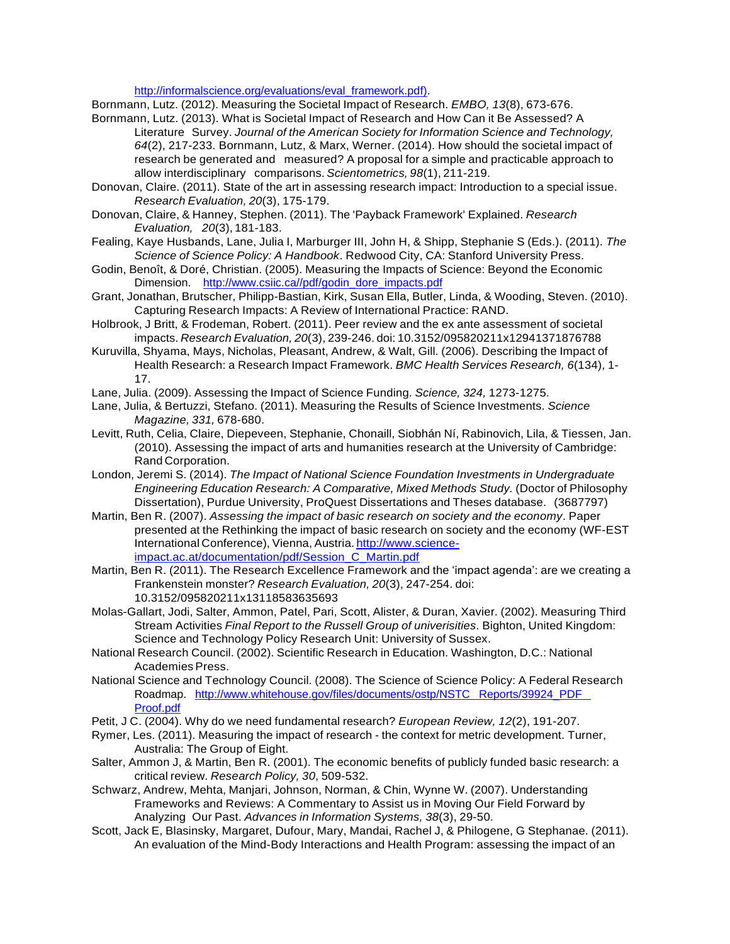[http://informalscience.org/evaluations/eval\\_framework.pdf\).](http://informalscience.org/evaluations/eval_framework.pdf))

Bornmann, Lutz. (2012). Measuring the Societal Impact of Research. *EMBO, 13*(8), 673-676.

- Bornmann, Lutz. (2013). What is Societal Impact of Research and How Can it Be Assessed? A Literature Survey. *Journal of the American Society for Information Science and Technology, 64*(2), 217-233. Bornmann, Lutz, & Marx, Werner. (2014). How should the societal impact of research be generated and measured? A proposal for a simple and practicable approach to allow interdisciplinary comparisons. *Scientometrics, 98*(1), 211-219.
- Donovan, Claire. (2011). State of the art in assessing research impact: Introduction to a special issue. *Research Evaluation, 20*(3), 175-179.
- Donovan, Claire, & Hanney, Stephen. (2011). The 'Payback Framework' Explained. *Research Evaluation, 20*(3), 181-183.
- Fealing, Kaye Husbands, Lane, Julia I, Marburger III, John H, & Shipp, Stephanie S (Eds.). (2011). *The Science of Science Policy: A Handbook*. Redwood City, CA: Stanford University Press.
- Godin, Benoît, & Doré, Christian. (2005). Measuring the Impacts of Science: Beyond the Economic Dimension. [http://www.csiic.ca//pdf/godin\\_dore\\_impacts.pdf](http://www.csiic.ca/pdf/godin_dore_impacts.pdf)
- Grant, Jonathan, Brutscher, Philipp-Bastian, Kirk, Susan Ella, Butler, Linda, & Wooding, Steven. (2010). Capturing Research Impacts: A Review of International Practice: RAND.
- Holbrook, J Britt, & Frodeman, Robert. (2011). Peer review and the ex ante assessment of societal impacts. *Research Evaluation, 20*(3), 239-246. doi: 10.3152/095820211x12941371876788
- Kuruvilla, Shyama, Mays, Nicholas, Pleasant, Andrew, & Walt, Gill. (2006). Describing the Impact of Health Research: a Research Impact Framework. *BMC Health Services Research, 6*(134), 1- 17.
- Lane, Julia. (2009). Assessing the Impact of Science Funding. *Science, 324,* 1273-1275.
- Lane, Julia, & Bertuzzi, Stefano. (2011). Measuring the Results of Science Investments. *Science Magazine, 331,* 678-680.
- Levitt, Ruth, Celia, Claire, Diepeveen, Stephanie, Chonaill, Siobhán Ní, Rabinovich, Lila, & Tiessen, Jan. (2010). Assessing the impact of arts and humanities research at the University of Cambridge: Rand Corporation.
- London, Jeremi S. (2014). *The Impact of National Science Foundation Investments in Undergraduate Engineering Education Research: A Comparative, Mixed Methods Study.* (Doctor of Philosophy Dissertation), Purdue University, ProQuest Dissertations and Theses database. (3687797)
- Martin, Ben R. (2007). *Assessing the impact of basic research on society and the economy*. Paper presented at the Rethinking the impact of basic research on society and the economy (WF-EST International Conference), Vienna, Austria. http://www.scienceimpact.ac.at/documentation/pdf/Session\_C\_Martin.pdf
- Martin, Ben R. (2011). The Research Excellence Framework and the 'impact agenda': are we creating a Frankenstein monster? *Research Evaluation, 20*(3), 247-254. doi: 10.3152/095820211x13118583635693
- Molas-Gallart, Jodi, Salter, Ammon, Patel, Pari, Scott, Alister, & Duran, Xavier. (2002). Measuring Third Stream Activities *Final Report to the Russell Group of univerisities*. Bighton, United Kingdom: Science and Technology Policy Research Unit: University of Sussex.
- National Research Council. (2002). Scientific Research in Education. Washington, D.C.: National Academies Press.
- National Science and Technology Council. (2008). The Science of Science Policy: A Federal Research Roadmap. <http://www.whitehouse.gov/files/documents/ostp/NSTC> Reports/39924\_PDF Proof.pdf
- Petit, J C. (2004). Why do we need fundamental research? *European Review, 12*(2), 191-207.
- Rymer, Les. (2011). Measuring the impact of research the context for metric development. Turner, Australia: The Group of Eight.
- Salter, Ammon J, & Martin, Ben R. (2001). The economic benefits of publicly funded basic research: a critical review. *Research Policy, 30*, 509-532.
- Schwarz, Andrew, Mehta, Manjari, Johnson, Norman, & Chin, Wynne W. (2007). Understanding Frameworks and Reviews: A Commentary to Assist us in Moving Our Field Forward by Analyzing Our Past. *Advances in Information Systems, 38*(3), 29-50.
- Scott, Jack E, Blasinsky, Margaret, Dufour, Mary, Mandai, Rachel J, & Philogene, G Stephanae. (2011). An evaluation of the Mind-Body Interactions and Health Program: assessing the impact of an